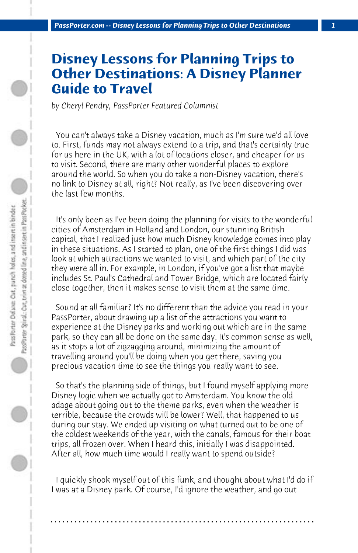## **Disney Lessons for Planning Trips to Other Destinations: A Disney Planner Guide to Travel**

*by Cheryl Pendry, PassPorter Featured Columnist*

 You can't always take a Disney vacation, much as I'm sure we'd all love to. First, funds may not always extend to a trip, and that's certainly true for us here in the UK, with a lot of locations closer, and cheaper for us to visit. Second, there are many other wonderful places to explore around the world. So when you do take a non-Disney vacation, there's no link to Disney at all, right? Not really, as I've been discovering over the last few months.

 It's only been as I've been doing the planning for visits to the wonderful cities of Amsterdam in Holland and London, our stunning British capital, that I realized just how much Disney knowledge comes into play in these situations. As I started to plan, one of the first things I did was look at which attractions we wanted to visit, and which part of the city they were all in. For example, in London, if you've got a list that maybe includes St. Paul's Cathedral and Tower Bridge, which are located fairly close together, then it makes sense to visit them at the same time.

 Sound at all familiar? It's no different than the advice you read in your PassPorter, about drawing up a list of the attractions you want to experience at the Disney parks and working out which are in the same park, so they can all be done on the same day. It's common sense as well, as it stops a lot of zigzagging around, minimizing the amount of travelling around you'll be doing when you get there, saving you precious vacation time to see the things you really want to see.

 So that's the planning side of things, but I found myself applying more Disney logic when we actually got to Amsterdam. You know the old adage about going out to the theme parks, even when the weather is terrible, because the crowds will be lower? Well, that happened to us during our stay. We ended up visiting on what turned out to be one of the coldest weekends of the year, with the canals, famous for their boat trips, all frozen over. When I heard this, initially I was disappointed. After all, how much time would I really want to spend outside?

 I quickly shook myself out of this funk, and thought about what I'd do if I was at a Disney park. Of course, I'd ignore the weather, and go out

**. . . . . . . . . . . . . . . . . . . . . . . . . . . . . . . . . . . . . . . . . . . . . . . . . . . . . . . . . . . . . . . . . .**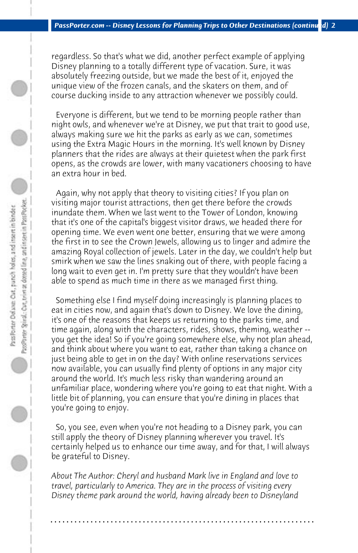regardless. So that's what we did, another perfect example of applying Disney planning to a totally different type of vacation. Sure, it was absolutely freezing outside, but we made the best of it, enjoyed the unique view of the frozen canals, and the skaters on them, and of course ducking inside to any attraction whenever we possibly could.

 Everyone is different, but we tend to be morning people rather than night owls, and whenever we're at Disney, we put that trait to good use, always making sure we hit the parks as early as we can, sometimes using the Extra Magic Hours in the morning. It's well known by Disney planners that the rides are always at their quietest when the park first opens, as the crowds are lower, with many vacationers choosing to have an extra hour in bed.

 Again, why not apply that theory to visiting cities? If you plan on visiting major tourist attractions, then get there before the crowds inundate them. When we last went to the Tower of London, knowing that it's one of the capital's biggest visitor draws, we headed there for opening time. We even went one better, ensuring that we were among the first in to see the Crown Jewels, allowing us to linger and admire the amazing Royal collection of jewels. Later in the day, we couldn't help but smirk when we saw the lines snaking out of there, with people facing a long wait to even get in. I'm pretty sure that they wouldn't have been able to spend as much time in there as we managed first thing.

 Something else I find myself doing increasingly is planning places to eat in cities now, and again that's down to Disney. We love the dining, it's one of the reasons that keeps us returning to the parks time, and time again, along with the characters, rides, shows, theming, weather - you get the idea! So if you're going somewhere else, why not plan ahead, and think about where you want to eat, rather than taking a chance on just being able to get in on the day? With online reservations services now available, you can usually find plenty of options in any major city around the world. It's much less risky than wandering around an unfamiliar place, wondering where you're going to eat that night. With a little bit of planning, you can ensure that you're dining in places that you're going to enjoy.

 So, you see, even when you're not heading to a Disney park, you can still apply the theory of Disney planning wherever you travel. It's certainly helped us to enhance our time away, and for that, I will always be grateful to Disney.

*About The Author: Cheryl and husband Mark live in England and love to travel, particularly to America. They are in the process of visiting every Disney theme park around the world, having already been to Disneyland*

**. . . . . . . . . . . . . . . . . . . . . . . . . . . . . . . . . . . . . . . . . . . . . . . . . . . . . . . . . . . . . . . . . .**